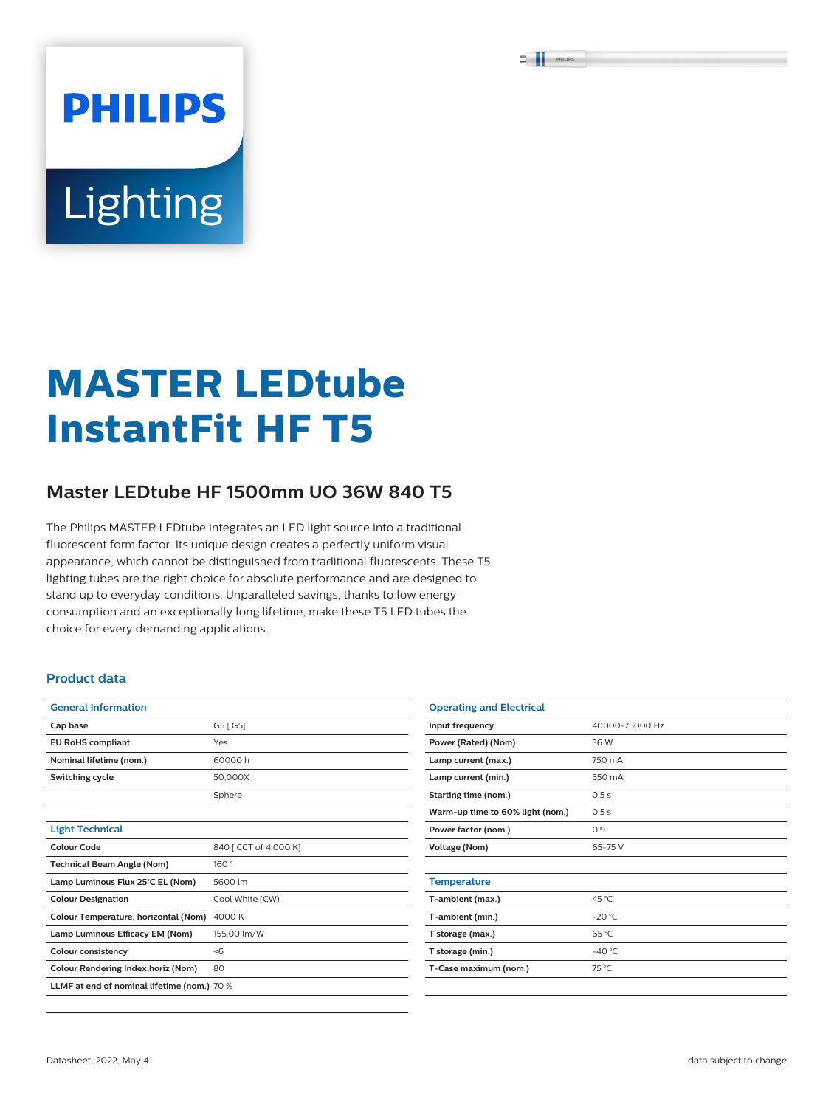# **PHILIPS** Lighting

## **MASTER LEDtube InstantFit HF T5**

### **Master LEDtube HF 1500mm UO 36W 840 T5**

The Philips MASTER LEDtube integrates an LED light source into a traditional fluorescent form factor. Its unique design creates a perfectly uniform visual appearance, which cannot be distinguished from traditional fluorescents. These T5 lighting tubes are the right choice for absolute performance and are designed to stand up to everyday conditions. Unparalleled savings, thanks to low energy consumption and an exceptionally long lifetime, make these T5 LED tubes the choice for every demanding applications.

#### **Product data**

| <b>General Information</b>                  |                       |  |  |  |
|---------------------------------------------|-----------------------|--|--|--|
| Cap base                                    | G5 [ G5]              |  |  |  |
| <b>EU RoHS compliant</b>                    | Yes                   |  |  |  |
| Nominal lifetime (nom.)                     | 60000h                |  |  |  |
| Switching cycle                             | 50.000X               |  |  |  |
|                                             | Sphere                |  |  |  |
|                                             |                       |  |  |  |
| <b>Light Technical</b>                      |                       |  |  |  |
| Colour Code                                 | 840 [ CCT of 4,000 K] |  |  |  |
| <b>Technical Beam Angle (Nom)</b>           | 160°                  |  |  |  |
| Lamp Luminous Flux 25°C EL (Nom)            | 5600 lm               |  |  |  |
| <b>Colour Designation</b>                   | Cool White (CW)       |  |  |  |
| Colour Temperature, horizontal (Nom)        | 4000 K                |  |  |  |
| Lamp Luminous Efficacy EM (Nom)             | 155.00 lm/W           |  |  |  |
| <b>Colour consistency</b>                   | $<$ 6                 |  |  |  |
| Colour Rendering Index, horiz (Nom)         | 80                    |  |  |  |
| LLMF at end of nominal lifetime (nom.) 70 % |                       |  |  |  |

| <b>Operating and Electrical</b>  |                |  |  |  |
|----------------------------------|----------------|--|--|--|
| Input frequency                  | 40000-75000 Hz |  |  |  |
| Power (Rated) (Nom)              | 36 W           |  |  |  |
| Lamp current (max.)              | 750 mA         |  |  |  |
| Lamp current (min.)              | 550 mA         |  |  |  |
| Starting time (nom.)             | 0.5s           |  |  |  |
| Warm-up time to 60% light (nom.) | 0.5s           |  |  |  |
| Power factor (nom.)              | 0.9            |  |  |  |
| <b>Voltage (Nom)</b>             | $65 - 75V$     |  |  |  |
|                                  |                |  |  |  |
| <b>Temperature</b>               |                |  |  |  |
| T-ambient (max.)                 | 45 °C          |  |  |  |
| T-ambient (min.)                 | $-20 °C$       |  |  |  |
| T storage (max.)                 | 65 °C          |  |  |  |
| T storage (min.)                 | $-40 °C$       |  |  |  |
| T-Case maximum (nom.)            | 75 °C          |  |  |  |
|                                  |                |  |  |  |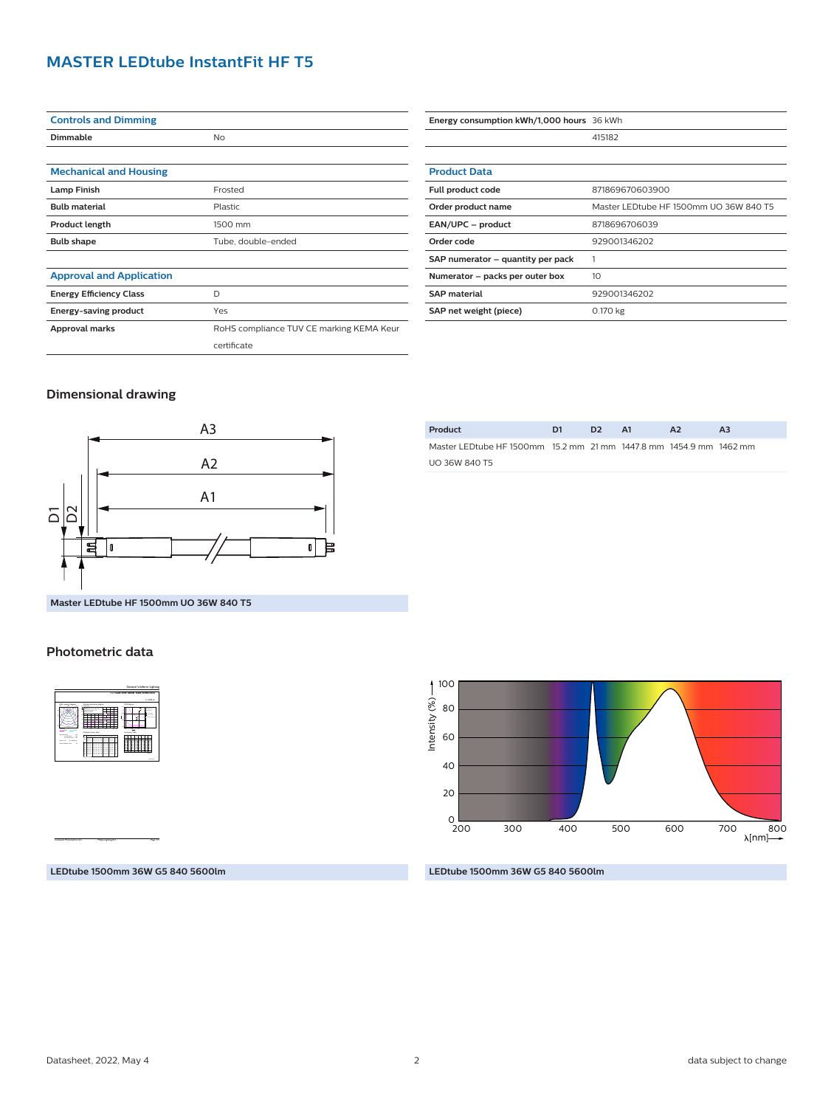#### **MASTER LEDtube InstantFit HF T5**

| <b>Controls and Dimming</b>     |                                          |  |  |  |
|---------------------------------|------------------------------------------|--|--|--|
| Dimmable                        | <b>No</b>                                |  |  |  |
|                                 |                                          |  |  |  |
| <b>Mechanical and Housing</b>   |                                          |  |  |  |
| <b>Lamp Finish</b>              | Frosted                                  |  |  |  |
| <b>Bulb material</b>            | Plastic                                  |  |  |  |
| <b>Product length</b>           | 1500 mm                                  |  |  |  |
| <b>Bulb shape</b>               | Tube, double-ended                       |  |  |  |
|                                 |                                          |  |  |  |
| <b>Approval and Application</b> |                                          |  |  |  |
| <b>Energy Efficiency Class</b>  | D                                        |  |  |  |
| Energy-saving product           | Yes                                      |  |  |  |
| Approval marks                  | RoHS compliance TUV CE marking KEMA Keur |  |  |  |
|                                 | certificate                              |  |  |  |

| Energy consumption kWh/1,000 hours 36 kWh |                                        |  |  |  |
|-------------------------------------------|----------------------------------------|--|--|--|
|                                           | 415182                                 |  |  |  |
|                                           |                                        |  |  |  |
| <b>Product Data</b>                       |                                        |  |  |  |
| Full product code                         | 871869670603900                        |  |  |  |
| Order product name                        | Master LEDtube HF 1500mm UO 36W 840 T5 |  |  |  |
| EAN/UPC - product                         | 8718696706039                          |  |  |  |
| Order code                                | 929001346202                           |  |  |  |
| SAP numerator - quantity per pack         |                                        |  |  |  |
| Numerator - packs per outer box           | 10                                     |  |  |  |
| <b>SAP</b> material                       | 929001346202                           |  |  |  |
| SAP net weight (piece)                    | 0.170 kg                               |  |  |  |

#### **Dimensional drawing**



| Product                                                             | D1 | D <sub>2</sub> | <b>A1</b> | A <sub>2</sub> | A3 |
|---------------------------------------------------------------------|----|----------------|-----------|----------------|----|
| Master LED tube HF 1500mm 15.2 mm 21 mm 1447.8 mm 1454.9 mm 1462 mm |    |                |           |                |    |
| <b>UO 36W 840 T5</b>                                                |    |                |           |                |    |

**Master LEDtube HF 1500mm UO 36W 840 T5**

#### **Photometric data**



CalcuLuX Photometrics 4.5 Philips Lighting B.V. Page: 1/1

200 300 400 500 600  $_{200}^{\circ}$ 40 80 20 60 700 800<br>← [nm]∧ 100 Intensity (%)

**LEDtube 1500mm 36W G5 840 5600lm**

#### **LEDtube 1500mm 36W G5 840 5600lm**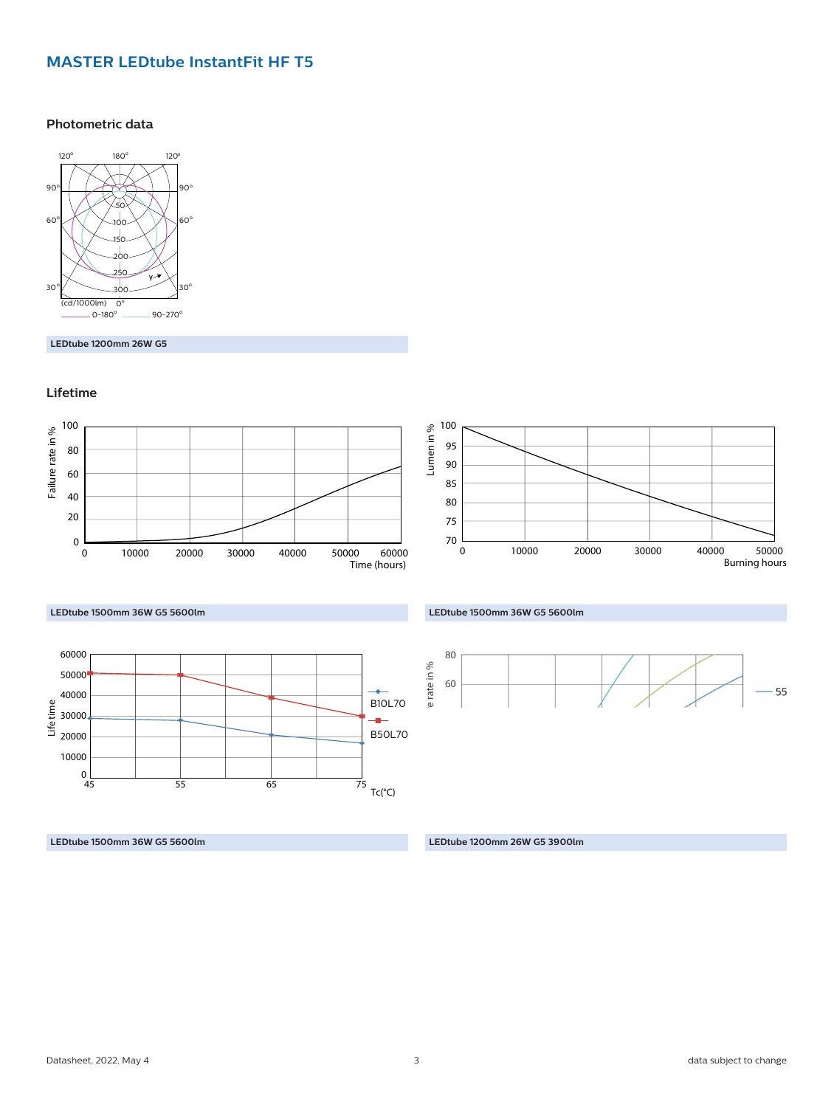#### **MASTER LEDtube InstantFit HF T5**

#### **Photometric data**



**LEDtube 1200mm 26W G5**

#### **Lifetime**



#### **LEDtube 1500mm 36W G5 5600lm**



**LEDtube 1500mm 36W G5 5600lm LEDtube 1200mm 26W G5 3900lm**



#### **LEDtube 1500mm 36W G5 5600lm**